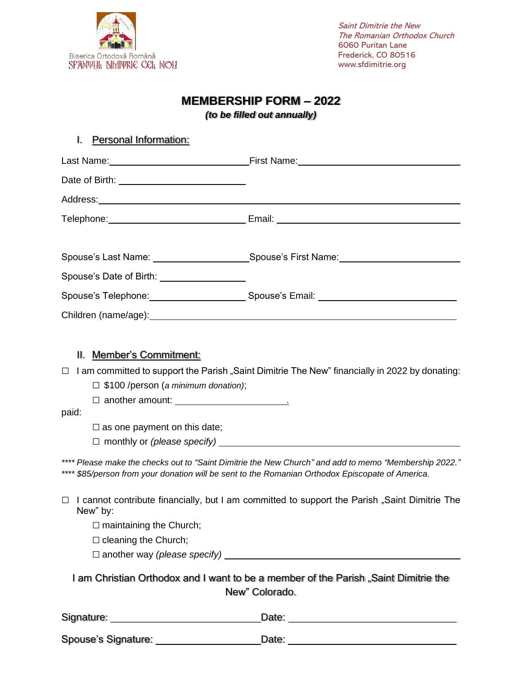

Saint Dimitrie the New The Romanian Orthodox Church 6060 Puritan Lane Frederick, CO 80516 www.sfdimitrie.org

## **MEMBERSHIP FORM – 2022**

*(to be filled out annually)*

| Personal Information:<br>I.                                                                                                                                                                                                    |                                                                                                                                                                                                                                     |
|--------------------------------------------------------------------------------------------------------------------------------------------------------------------------------------------------------------------------------|-------------------------------------------------------------------------------------------------------------------------------------------------------------------------------------------------------------------------------------|
|                                                                                                                                                                                                                                | Last Name: <u>Name:</u> Name: Name: Name: Name: Name: Name: Name: Name: Name: Name: Name: Name: Name: Name: Name: Name: Name: Name: Name: Name: Name: Name: Name: Name: Name: Name: Name: Name: Name: Name: Name: Name: Name: Name: |
|                                                                                                                                                                                                                                |                                                                                                                                                                                                                                     |
|                                                                                                                                                                                                                                |                                                                                                                                                                                                                                     |
|                                                                                                                                                                                                                                |                                                                                                                                                                                                                                     |
|                                                                                                                                                                                                                                | Spouse's Last Name: __________________________Spouse's First Name: _________________________________                                                                                                                                |
| Spouse's Date of Birth: ___________________                                                                                                                                                                                    |                                                                                                                                                                                                                                     |
|                                                                                                                                                                                                                                | Spouse's Telephone: __________________________Spouse's Email: ___________________                                                                                                                                                   |
| Children (name/age): Manual Children (name/age): Manual Children (name/age):                                                                                                                                                   |                                                                                                                                                                                                                                     |
| $\Box$ \$100 /person (a minimum donation);<br>paid:<br>$\square$ as one payment on this date;                                                                                                                                  | $\Box$ I am committed to support the Parish "Saint Dimitrie The New" financially in 2022 by donating:                                                                                                                               |
| **** Please make the checks out to "Saint Dimitrie the New Church" and add to memo "Membership 2022."<br>**** \$85/person from your donation will be sent to the Romanian Orthodox Episcopate of America.                      |                                                                                                                                                                                                                                     |
| New" by:<br>$\Box$ maintaining the Church;<br>$\Box$ cleaning the Church;                                                                                                                                                      | $\Box$ I cannot contribute financially, but I am committed to support the Parish "Saint Dimitrie The                                                                                                                                |
| I am Christian Orthodox and I want to be a member of the Parish "Saint Dimitrie the<br>New" Colorado.                                                                                                                          |                                                                                                                                                                                                                                     |
| Signature: View Contract Contract Contract Contract Contract Contract Contract Contract Contract Contract Contract Contract Contract Contract Contract Contract Contract Contract Contract Contract Contract Contract Contract |                                                                                                                                                                                                                                     |
|                                                                                                                                                                                                                                | Spouse's Signature: ___________________________Date: ___________________________                                                                                                                                                    |